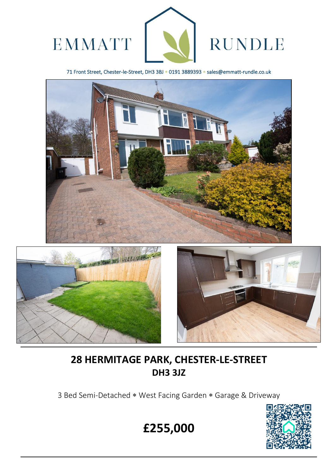

71 Front Street, Chester-le-Street, DH3 3BJ \* 0191 3889393 \* sales@emmatt-rundle.co.uk





 $\overline{a}$ 



# **28 HERMITAGE PARK, CHESTER-LE-STREET DH3 3JZ**

3 Bed Semi-Detached \* West Facing Garden \* Garage & Driveway



**£255,000**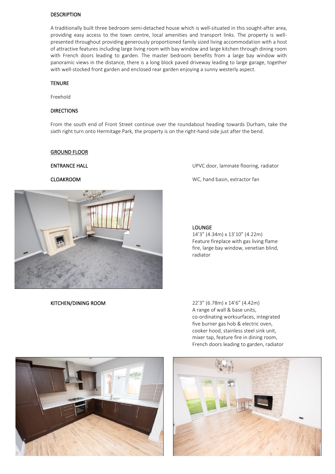#### DESCRIPTION

A traditionally built three bedroom semi-detached house which is well-situated in this sought-after area, providing easy access to the town centre, local amenities and transport links. The property is wellpresented throughout providing generously proportioned family sized living accommodation with a host of attractive features including large living room with bay window and large kitchen through dining room with French doors leading to garden. The master bedroom benefits from a large bay window with panoramic views in the distance, there is a long block paved driveway leading to large garage, together with well-stocked front garden and enclosed rear garden enjoying a sunny westerly aspect.

#### **TENURE**

Freehold

#### DIRECTIONS

From the south end of Front Street continue over the roundabout heading towards Durham, take the sixth right turn onto Hermitage Park, the property is on the right-hand side just after the bend.

#### GROUND FLOOR



KITCHEN/DINING ROOM 22'3" (6.78m) x 14'6" (4.42m)

ENTRANCE HALL UPVC door, laminate flooring, radiator

CLOAKROOM WC, hand basin, extractor fan

#### LOUNGE

14'3" (4.34m) x 13'10" (4.22m) Feature fireplace with gas living flame fire, large bay window, venetian blind, radiator

A range of wall & base units, co-ordinating worksurfaces, integrated five burner gas hob & electric oven, cooker hood, stainless steel sink unit, mixer tap, feature fire in dining room, French doors leading to garden, radiator



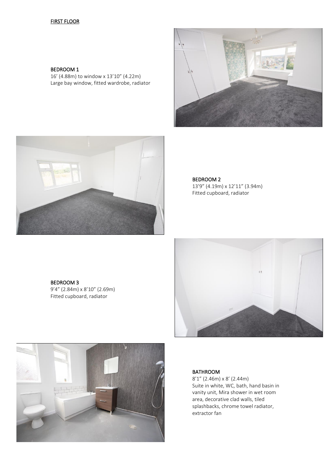### **FIRST FLOOR**

#### BEDROOM 1

16' (4.88m) to window x 13'10" (4.22m) Large bay window, fitted wardrobe, radiator





BEDROOM 2

13'9" (4.19m) x 12'11" (3.94m) Fitted cupboard, radiator

BEDROOM 3 9'4" (2.84m) x 8'10" (2.69m) Fitted cupboard, radiator





### BATHROOM

8'1" (2.46m) x 8' (2.44m) Suite in white, WC, bath, hand basin in vanity unit, Mira shower in wet room area, decorative clad walls, tiled splashbacks, chrome towel radiator, extractor fan